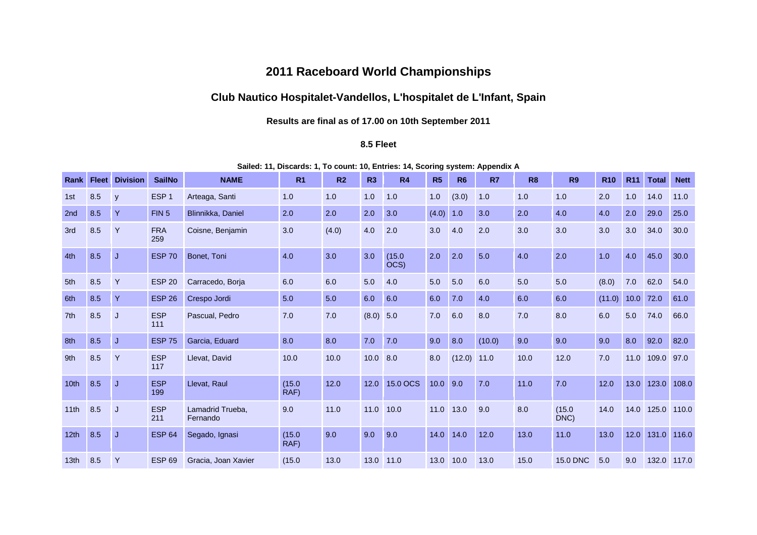# **2011 Raceboard World Championships**

# **Club Nautico Hospitalet-Vandellos, L'hospitalet de L'Infant, Spain**

## **Results are final as of 17.00 on 10th September 2011**

## **8.5 Fleet**

**Sailed: 11, Discards: 1, To count: 10, Entries: 14, Scoring system: Appendix A**

| Rank             | <b>Fleet</b> | <b>Division</b> | <b>SailNo</b>     | <b>NAME</b>                  | R <sub>1</sub> | R <sub>2</sub> | R <sub>3</sub> | R <sub>4</sub> | R5    | R <sub>6</sub> | R <sub>7</sub> | R <sub>8</sub> | R <sub>9</sub>  | <b>R10</b> | R <sub>11</sub> | <b>Total</b> | <b>Nett</b> |
|------------------|--------------|-----------------|-------------------|------------------------------|----------------|----------------|----------------|----------------|-------|----------------|----------------|----------------|-----------------|------------|-----------------|--------------|-------------|
| 1st              | 8.5          | y               | ESP <sub>1</sub>  | Arteaga, Santi               | 1.0            | 1.0            | 1.0            | 1.0            | 1.0   | (3.0)          | 1.0            | 1.0            | 1.0             | 2.0        | 1.0             | 14.0         | 11.0        |
| 2nd              | 8.5          | Y               | FIN <sub>5</sub>  | Blinnikka, Daniel            | 2.0            | 2.0            | 2.0            | 3.0            | (4.0) | 1.0            | 3.0            | 2.0            | 4.0             | 4.0        | 2.0             | 29.0         | 25.0        |
| 3rd              | 8.5          | Y               | <b>FRA</b><br>259 | Coisne, Benjamin             | 3.0            | (4.0)          | 4.0            | 2.0            | 3.0   | 4.0            | 2.0            | 3.0            | 3.0             | 3.0        | 3.0             | 34.0         | 30.0        |
| 4th              | 8.5          | IJ              | <b>ESP 70</b>     | Bonet, Toni                  | 4.0            | 3.0            | 3.0            | (15.0)<br>OCS) | 2.0   | 2.0            | 5.0            | 4.0            | 2.0             | 1.0        | 4.0             | 45.0         | 30.0        |
| 5th              | 8.5          | Y               | <b>ESP 20</b>     | Carracedo, Borja             | 6.0            | 6.0            | 5.0            | 4.0            | 5.0   | 5.0            | 6.0            | 5.0            | 5.0             | (8.0)      | 7.0             | 62.0         | 54.0        |
| 6th              | 8.5          | $\mathsf{Y}$    | <b>ESP 26</b>     | Crespo Jordi                 | 5.0            | 5.0            | 6.0            | 6.0            | 6.0   | 7.0            | 4.0            | 6.0            | 6.0             | (11.0)     | 10.0            | 72.0         | 61.0        |
| 7th              | 8.5          | J               | <b>ESP</b><br>111 | Pascual, Pedro               | 7.0            | 7.0            | $(8.0)$ 5.0    |                | 7.0   | 6.0            | 8.0            | 7.0            | 8.0             | 6.0        | 5.0             | 74.0         | 66.0        |
| 8th              | 8.5          | IJ              | <b>ESP 75</b>     | Garcia, Eduard               | 8.0            | 8.0            | 7.0            | 7.0            | 9.0   | 8.0            | (10.0)         | 9.0            | 9.0             | 9.0        | 8.0             | 92.0         | 82.0        |
| 9th              | 8.5          | Y               | <b>ESP</b><br>117 | Llevat, David                | 10.0           | 10.0           | 10.0           | 8.0            | 8.0   | (12.0)         | 11.0           | 10.0           | 12.0            | 7.0        | 11.0            | 109.0        | 97.0        |
| 10th             | 8.5          | $\overline{J}$  | <b>ESP</b><br>199 | Llevat, Raul                 | (15.0)<br>RAF) | 12.0           | 12.0           | 15.0 OCS       | 10.0  | 9.0            | 7.0            | 11.0           | 7.0             | 12.0       | 13.0            | 123.0        | 108.0       |
| 11th             | 8.5          | J               | <b>ESP</b><br>211 | Lamadrid Trueba,<br>Fernando | 9.0            | 11.0           | 11.0           | 10.0           | 11.0  | 13.0           | 9.0            | 8.0            | (15.0)<br>DNC)  | 14.0       | 14.0            | 125.0        | 110.0       |
| 12th             | 8.5          | IJ              | <b>ESP 64</b>     | Segado, Ignasi               | (15.0)<br>RAF) | 9.0            | 9.0            | 9.0            | 14.0  | 14.0           | 12.0           | 13.0           | $11.0$          | 13.0       | 12.0            | 131.0        | 116.0       |
| 13 <sub>th</sub> | 8.5          | Y               | <b>ESP 69</b>     | Gracia, Joan Xavier          | (15.0)         | 13.0           | 13.0           | 11.0           | 13.0  | 10.0           | 13.0           | 15.0           | <b>15.0 DNC</b> | 5.0        | 9.0             | 132.0        | 117.0       |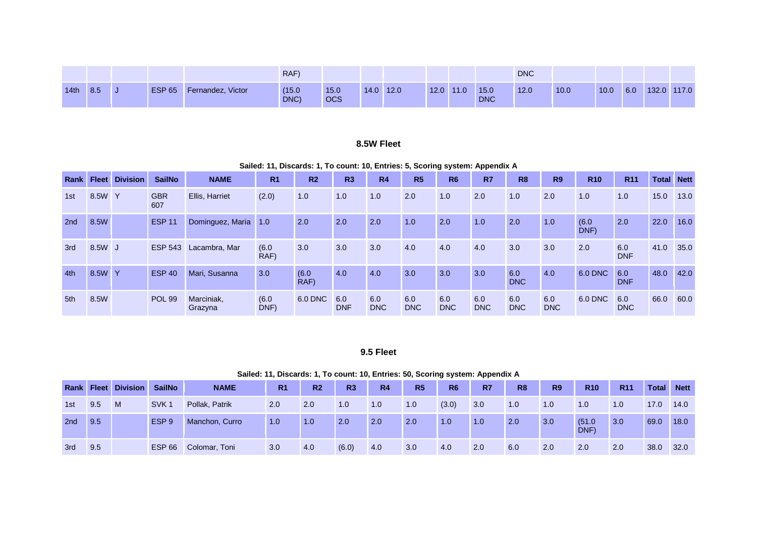|                  |     |               |                   | RAF)           |                    |           |      |      |                    | <b>DNC</b> |      |      |     |             |
|------------------|-----|---------------|-------------------|----------------|--------------------|-----------|------|------|--------------------|------------|------|------|-----|-------------|
| 14 <sub>th</sub> | 8.5 | <b>ESP 65</b> | Fernandez, Victor | (15.0)<br>DNC) | 15.0<br><b>OCS</b> | 14.0 12.0 | 12.0 | 11.0 | 15.0<br><b>DNC</b> | 12.0       | 10.0 | 10.0 | 6.0 | 132.0 117.0 |

#### **8.5W Fleet**

**Sailed: 11, Discards: 1, To count: 10, Entries: 5, Scoring system: Appendix A**

| Rank Fleet |        | <b>Division</b> | <b>SailNo</b>     | <b>NAME</b>           | R <sub>1</sub> | R <sub>2</sub> | R3                | R <sub>4</sub>    | R <sub>5</sub>    | R <sub>6</sub>    | R <sub>7</sub>    | R <sub>8</sub>    | <b>R9</b>         | <b>R10</b>    | <b>R11</b>        | <b>Total</b> | <b>Nett</b> |
|------------|--------|-----------------|-------------------|-----------------------|----------------|----------------|-------------------|-------------------|-------------------|-------------------|-------------------|-------------------|-------------------|---------------|-------------------|--------------|-------------|
| 1st        | 8.5W Y |                 | <b>GBR</b><br>607 | Ellis, Harriet        | (2.0)          | 1.0            | 1.0               | 1.0               | 2.0               | 1.0               | 2.0               | 1.0               | 2.0               | 1.0           | 1.0               | 15.0         | 13.0        |
| 2nd        | 8.5W   |                 | <b>ESP 11</b>     | Dominguez, Maria      | 1.0            | 2.0            | 2.0               | 2.0               | 1.0               | 2.0               | 1.0               | 2.0               | 1.0               | (6.0)<br>DNF) | 2.0               | 22.0         | 16.0        |
| 3rd        | 8.5W J |                 | <b>ESP 543</b>    | Lacambra, Mar         | (6.0)<br>RAF)  | 3.0            | 3.0               | 3.0               | 4.0               | 4.0               | 4.0               | 3.0               | 3.0               | 2.0           | 6.0<br><b>DNF</b> | 41.0         | 35.0        |
| 4th        | 8.5W Y |                 | <b>ESP 40</b>     | Mari, Susanna         | 3.0            | (6.0)<br>RAF)  | 4.0               | 4.0               | 3.0               | 3.0               | 3.0               | 6.0<br><b>DNC</b> | 4.0               | 6.0 DNC       | 6.0<br><b>DNF</b> | 48.0         | 42.0        |
| 5th        | 8.5W   |                 | <b>POL 99</b>     | Marciniak,<br>Grazyna | (6.0)<br>DNF)  | 6.0 DNC        | 6.0<br><b>DNF</b> | 6.0<br><b>DNC</b> | 6.0<br><b>DNC</b> | 6.0<br><b>DNC</b> | 6.0<br><b>DNC</b> | 6.0<br><b>DNC</b> | 6.0<br><b>DNC</b> | 6.0 DNC       | 6.0<br><b>DNC</b> | 66.0         | 60.0        |

#### **9.5 Fleet**

|      |     |                       |                  |                |                |                |                |           | <u>Udilca. Ti, Discards. T, TO count. To, Entrics. 90, Oconing System. Appendix A</u> |                |     |                |           |                |            |       |             |
|------|-----|-----------------------|------------------|----------------|----------------|----------------|----------------|-----------|---------------------------------------------------------------------------------------|----------------|-----|----------------|-----------|----------------|------------|-------|-------------|
| Rank |     | <b>Fleet Division</b> | <b>SailNo</b>    | <b>NAME</b>    | R <sub>1</sub> | R <sub>2</sub> | R <sub>3</sub> | <b>R4</b> | R <sub>5</sub>                                                                        | R <sub>6</sub> | R7  | R <sub>8</sub> | <b>R9</b> | <b>R10</b>     | <b>R11</b> | Total | <b>Nett</b> |
| 1st  | 9.5 | -M                    | SVK <sub>1</sub> | Pollak, Patrik | 2.0            | 2.0            | 1.0            | 1.0       | 1.0                                                                                   | (3.0)          | 3.0 | 1.0            | 1.0       | 1.0            | 1.0        | 17.0  | 14.0        |
| 2nd  | 9.5 |                       | ESP <sub>9</sub> | Manchon, Curro | 1.0            | 1.0            | 2.0            | 2.0       | 2.0                                                                                   | 1.0            | 1.0 | 2.0            | 3.0       | (51.0)<br>DNF) | 3.0        | 69.0  | 18.0        |
| 3rd  | 9.5 |                       | ESP 66           | Colomar, Toni  | 3.0            | 4.0            | (6.0)          | 4.0       | 3.0                                                                                   | 4.0            | 2.0 | 6.0            | 2.0       | 2.0            | 2.0        | 38.0  | 32.0        |

**Sailed: 11, Discards: 1, To count: 10, Entries: 50, Scoring system: Appendix A**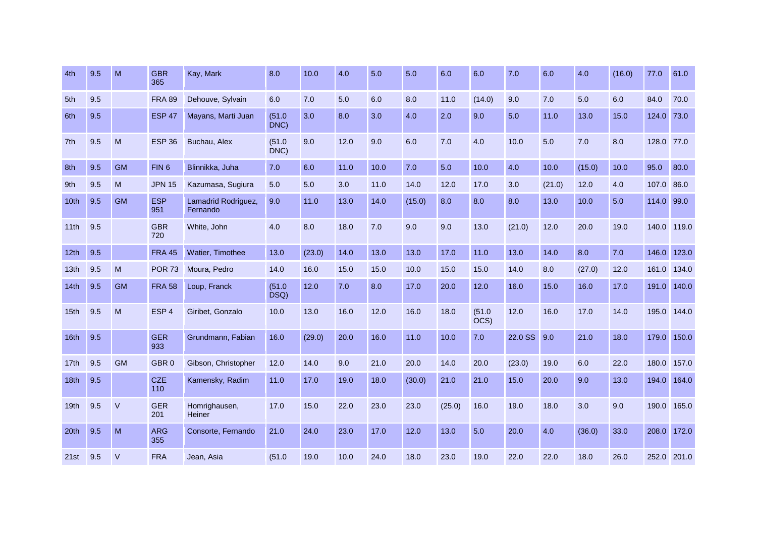| 4th              | 9.5 | M         | <b>GBR</b><br>365 | Kay, Mark                       | 8.0            | 10.0   | 4.0  | 5.0  | 5.0    | 6.0    | 6.0            | 7.0     | 6.0    | 4.0    | (16.0) | 77.0       | 61.0        |
|------------------|-----|-----------|-------------------|---------------------------------|----------------|--------|------|------|--------|--------|----------------|---------|--------|--------|--------|------------|-------------|
| 5th              | 9.5 |           | <b>FRA 89</b>     | Dehouve, Sylvain                | 6.0            | 7.0    | 5.0  | 6.0  | 8.0    | 11.0   | (14.0)         | 9.0     | 7.0    | 5.0    | 6.0    | 84.0       | 70.0        |
| 6th              | 9.5 |           | <b>ESP 47</b>     | Mayans, Marti Juan              | (51.0)<br>DNC) | 3.0    | 8.0  | 3.0  | 4.0    | 2.0    | 9.0            | 5.0     | 11.0   | 13.0   | 15.0   | 124.0      | 73.0        |
| 7th              | 9.5 | M         | <b>ESP 36</b>     | Buchau, Alex                    | (51.0)<br>DNC) | 9.0    | 12.0 | 9.0  | 6.0    | 7.0    | 4.0            | 10.0    | 5.0    | 7.0    | 8.0    | 128.0 77.0 |             |
| 8th              | 9.5 | <b>GM</b> | FIN <sub>6</sub>  | Blinnikka, Juha                 | 7.0            | 6.0    | 11.0 | 10.0 | 7.0    | 5.0    | 10.0           | 4.0     | 10.0   | (15.0) | 10.0   | 95.0       | 80.0        |
| 9th              | 9.5 | M         | <b>JPN 15</b>     | Kazumasa, Sugiura               | 5.0            | 5.0    | 3.0  | 11.0 | 14.0   | 12.0   | 17.0           | 3.0     | (21.0) | 12.0   | 4.0    | 107.0      | 86.0        |
| 10th             | 9.5 | <b>GM</b> | <b>ESP</b><br>951 | Lamadrid Rodriguez,<br>Fernando | 9.0            | 11.0   | 13.0 | 14.0 | (15.0) | 8.0    | 8.0            | 8.0     | 13.0   | 10.0   | 5.0    | 114.0      | 99.0        |
| 11th             | 9.5 |           | <b>GBR</b><br>720 | White, John                     | 4.0            | 8.0    | 18.0 | 7.0  | 9.0    | 9.0    | 13.0           | (21.0)  | 12.0   | 20.0   | 19.0   |            | 140.0 119.0 |
| 12 <sub>th</sub> | 9.5 |           | <b>FRA 45</b>     | Watier, Timothee                | 13.0           | (23.0) | 14.0 | 13.0 | 13.0   | 17.0   | 11.0           | 13.0    | 14.0   | 8.0    | 7.0    | 146.0      | 123.0       |
| 13 <sub>th</sub> | 9.5 | M         | <b>POR 73</b>     | Moura, Pedro                    | 14.0           | 16.0   | 15.0 | 15.0 | 10.0   | 15.0   | 15.0           | 14.0    | 8.0    | (27.0) | 12.0   | 161.0      | 134.0       |
| 14th             | 9.5 | <b>GM</b> | <b>FRA 58</b>     | Loup, Franck                    | (51.0)<br>DSQ) | 12.0   | 7.0  | 8.0  | 17.0   | 20.0   | 12.0           | 16.0    | 15.0   | 16.0   | 17.0   | 191.0      | 140.0       |
| 15 <sub>th</sub> | 9.5 | M         | ESP <sub>4</sub>  | Giribet, Gonzalo                | 10.0           | 13.0   | 16.0 | 12.0 | 16.0   | 18.0   | (51.0)<br>OCS) | 12.0    | 16.0   | 17.0   | 14.0   | 195.0      | 144.0       |
| 16th             | 9.5 |           | <b>GER</b><br>933 | Grundmann, Fabian               | 16.0           | (29.0) | 20.0 | 16.0 | 11.0   | 10.0   | 7.0            | 22.0 SS | 9.0    | 21.0   | 18.0   | 179.0      | 150.0       |
| 17th             | 9.5 | <b>GM</b> | GBR <sub>0</sub>  | Gibson, Christopher             | 12.0           | 14.0   | 9.0  | 21.0 | 20.0   | 14.0   | 20.0           | (23.0)  | 19.0   | 6.0    | 22.0   | 180.0      | 157.0       |
| 18th             | 9.5 |           | <b>CZE</b><br>110 | Kamensky, Radim                 | 11.0           | 17.0   | 19.0 | 18.0 | (30.0) | 21.0   | 21.0           | 15.0    | 20.0   | 9.0    | 13.0   | 194.0      | 164.0       |
| 19 <sub>th</sub> | 9.5 | $\vee$    | <b>GER</b><br>201 | Homrighausen,<br>Heiner         | 17.0           | 15.0   | 22.0 | 23.0 | 23.0   | (25.0) | 16.0           | 19.0    | 18.0   | 3.0    | 9.0    | 190.0      | 165.0       |
| 20 <sup>th</sup> | 9.5 | M         | <b>ARG</b><br>355 | Consorte, Fernando              | 21.0           | 24.0   | 23.0 | 17.0 | 12.0   | 13.0   | 5.0            | 20.0    | 4.0    | (36.0) | 33.0   | 208.0      | 172.0       |
| 21st             | 9.5 | $\vee$    | <b>FRA</b>        | Jean, Asia                      | (51.0)         | 19.0   | 10.0 | 24.0 | 18.0   | 23.0   | 19.0           | 22.0    | 22.0   | 18.0   | 26.0   |            | 252.0 201.0 |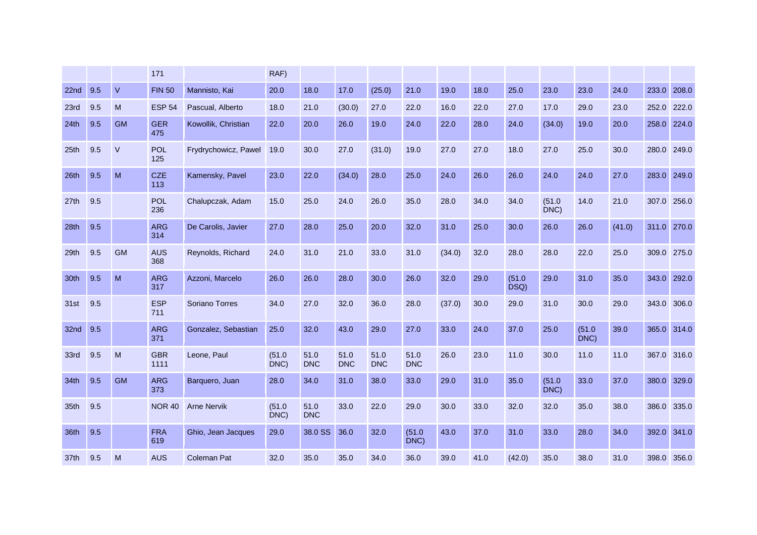|                  |     |           | 171                |                      | RAF)           |                    |                    |                    |                    |        |      |                |                |                |        |             |             |
|------------------|-----|-----------|--------------------|----------------------|----------------|--------------------|--------------------|--------------------|--------------------|--------|------|----------------|----------------|----------------|--------|-------------|-------------|
| 22 <sub>nd</sub> | 9.5 | $\vee$    | <b>FIN 50</b>      | Mannisto, Kai        | 20.0           | 18.0               | 17.0               | (25.0)             | 21.0               | 19.0   | 18.0 | 25.0           | 23.0           | 23.0           | 24.0   | 233.0       | 208.0       |
| 23rd             | 9.5 | M         | <b>ESP 54</b>      | Pascual, Alberto     | 18.0           | 21.0               | (30.0)             | 27.0               | 22.0               | 16.0   | 22.0 | 27.0           | 17.0           | 29.0           | 23.0   | 252.0       | 222.0       |
| 24th             | 9.5 | <b>GM</b> | <b>GER</b><br>475  | Kowollik, Christian  | 22.0           | 20.0               | 26.0               | 19.0               | 24.0               | 22.0   | 28.0 | 24.0           | (34.0)         | 19.0           | 20.0   | 258.0 224.0 |             |
| 25 <sub>th</sub> | 9.5 | V         | <b>POL</b><br>125  | Frydrychowicz, Pawel | 19.0           | 30.0               | 27.0               | (31.0)             | 19.0               | 27.0   | 27.0 | 18.0           | 27.0           | 25.0           | 30.0   | 280.0 249.0 |             |
| 26 <sub>th</sub> | 9.5 | M         | <b>CZE</b><br>113  | Kamensky, Pavel      | 23.0           | 22.0               | (34.0)             | 28.0               | 25.0               | 24.0   | 26.0 | 26.0           | 24.0           | 24.0           | 27.0   | 283.0       | 249.0       |
| 27th             | 9.5 |           | <b>POL</b><br>236  | Chalupczak, Adam     | 15.0           | 25.0               | 24.0               | 26.0               | 35.0               | 28.0   | 34.0 | 34.0           | (51.0)<br>DNC) | 14.0           | 21.0   |             | 307.0 256.0 |
| 28 <sub>th</sub> | 9.5 |           | <b>ARG</b><br>314  | De Carolis, Javier   | 27.0           | 28.0               | 25.0               | 20.0               | 32.0               | 31.0   | 25.0 | 30.0           | 26.0           | 26.0           | (41.0) | 311.0 270.0 |             |
| 29th             | 9.5 | <b>GM</b> | <b>AUS</b><br>368  | Reynolds, Richard    | 24.0           | 31.0               | 21.0               | 33.0               | 31.0               | (34.0) | 32.0 | 28.0           | 28.0           | 22.0           | 25.0   |             | 309.0 275.0 |
| 30th             | 9.5 | M         | <b>ARG</b><br>317  | Azzoni, Marcelo      | 26.0           | 26.0               | 28.0               | 30.0               | 26.0               | 32.0   | 29.0 | (51.0)<br>DSQ) | 29.0           | 31.0           | 35.0   | 343.0 292.0 |             |
| 31st             | 9.5 |           | <b>ESP</b><br>711  | Soriano Torres       | 34.0           | 27.0               | 32.0               | 36.0               | 28.0               | (37.0) | 30.0 | 29.0           | 31.0           | 30.0           | 29.0   |             | 343.0 306.0 |
| 32 <sub>nd</sub> | 9.5 |           | <b>ARG</b><br>371  | Gonzalez, Sebastian  | 25.0           | 32.0               | 43.0               | 29.0               | 27.0               | 33.0   | 24.0 | 37.0           | 25.0           | (51.0)<br>DNC) | 39.0   |             | 365.0 314.0 |
| 33rd             | 9.5 | M         | <b>GBR</b><br>1111 | Leone, Paul          | (51.0)<br>DNC) | 51.0<br><b>DNC</b> | 51.0<br><b>DNC</b> | 51.0<br><b>DNC</b> | 51.0<br><b>DNC</b> | 26.0   | 23.0 | 11.0           | 30.0           | 11.0           | 11.0   |             | 367.0 316.0 |
| 34th             | 9.5 | <b>GM</b> | <b>ARG</b><br>373  | Barquero, Juan       | 28.0           | 34.0               | 31.0               | 38.0               | 33.0               | 29.0   | 31.0 | 35.0           | (51.0)<br>DNC) | 33.0           | 37.0   |             | 380.0 329.0 |
| 35th             | 9.5 |           | <b>NOR 40</b>      | <b>Arne Nervik</b>   | (51.0)<br>DNC) | 51.0<br><b>DNC</b> | 33.0               | 22.0               | 29.0               | 30.0   | 33.0 | 32.0           | 32.0           | 35.0           | 38.0   |             | 386.0 335.0 |
| 36th             | 9.5 |           | <b>FRA</b><br>619  | Ghio, Jean Jacques   | 29.0           | 38.0 SS            | 36.0               | 32.0               | (51.0)<br>DNC)     | 43.0   | 37.0 | 31.0           | 33.0           | 28.0           | 34.0   | 392.0       | 341.0       |
| 37th             | 9.5 | M         | <b>AUS</b>         | <b>Coleman Pat</b>   | 32.0           | 35.0               | 35.0               | 34.0               | 36.0               | 39.0   | 41.0 | (42.0)         | 35.0           | 38.0           | 31.0   |             | 398.0 356.0 |